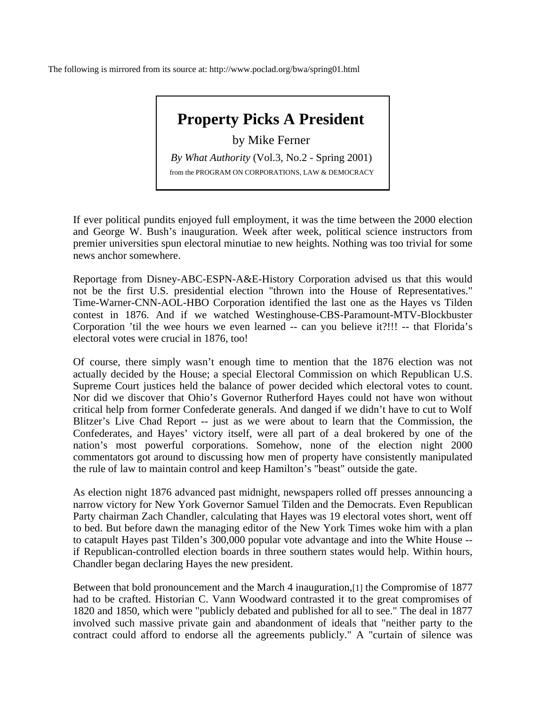The following is mirrored from its source at: http://www.poclad.org/bwa/spring01.html

## **Property Picks A President**

## by Mike Ferner

*By What Authority* (Vol.3, No.2 - Spring 2001) from the PROGRAM ON CORPORATIONS, LAW & DEMOCRACY

If ever political pundits enjoyed full employment, it was the time between the 2000 election and George W. Bush's inauguration. Week after week, political science instructors from premier universities spun electoral minutiae to new heights. Nothing was too trivial for some news anchor somewhere.

Reportage from Disney-ABC-ESPN-A&E-History Corporation advised us that this would not be the first U.S. presidential election "thrown into the House of Representatives." Time-Warner-CNN-AOL-HBO Corporation identified the last one as the Hayes vs Tilden contest in 1876. And if we watched Westinghouse-CBS-Paramount-MTV-Blockbuster Corporation 'til the wee hours we even learned -- can you believe it?!!! -- that Florida's electoral votes were crucial in 1876, too!

Of course, there simply wasn't enough time to mention that the 1876 election was not actually decided by the House; a special Electoral Commission on which Republican U.S. Supreme Court justices held the balance of power decided which electoral votes to count. Nor did we discover that Ohio's Governor Rutherford Hayes could not have won without critical help from former Confederate generals. And danged if we didn't have to cut to Wolf Blitzer's Live Chad Report -- just as we were about to learn that the Commission, the Confederates, and Hayes' victory itself, were all part of a deal brokered by one of the nation's most powerful corporations. Somehow, none of the election night 2000 commentators got around to discussing how men of property have consistently manipulated the rule of law to maintain control and keep Hamilton's "beast" outside the gate.

As election night 1876 advanced past midnight, newspapers rolled off presses announcing a narrow victory for New York Governor Samuel Tilden and the Democrats. Even Republican Party chairman Zach Chandler, calculating that Hayes was 19 electoral votes short, went off to bed. But before dawn the managing editor of the New York Times woke him with a plan to catapult Hayes past Tilden's 300,000 popular vote advantage and into the White House - if Republican-controlled election boards in three southern states would help. Within hours, Chandler began declaring Hayes the new president.

Between that bold pronouncement and the March 4 inauguration,[1] the Compromise of 1877 had to be crafted. Historian C. Vann Woodward contrasted it to the great compromises of 1820 and 1850, which were "publicly debated and published for all to see." The deal in 1877 involved such massive private gain and abandonment of ideals that "neither party to the contract could afford to endorse all the agreements publicly." A "curtain of silence was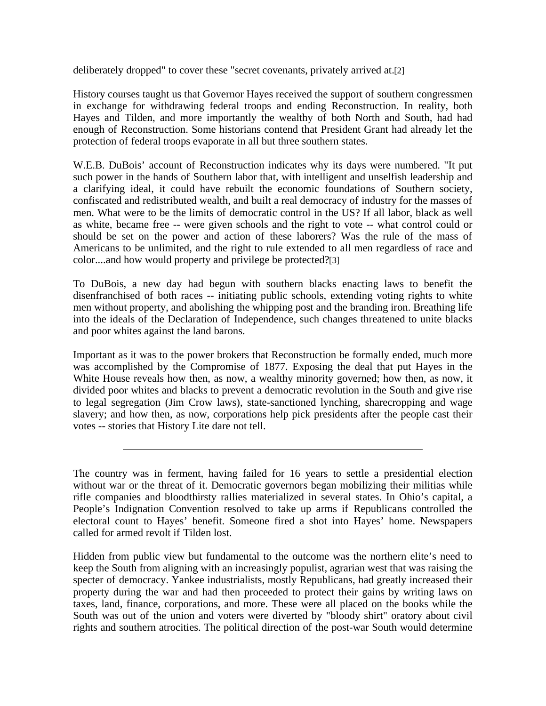deliberately dropped" to cover these "secret covenants, privately arrived at.[2]

History courses taught us that Governor Hayes received the support of southern congressmen in exchange for withdrawing federal troops and ending Reconstruction. In reality, both Hayes and Tilden, and more importantly the wealthy of both North and South, had had enough of Reconstruction. Some historians contend that President Grant had already let the protection of federal troops evaporate in all but three southern states.

W.E.B. DuBois' account of Reconstruction indicates why its days were numbered. "It put such power in the hands of Southern labor that, with intelligent and unselfish leadership and a clarifying ideal, it could have rebuilt the economic foundations of Southern society, confiscated and redistributed wealth, and built a real democracy of industry for the masses of men. What were to be the limits of democratic control in the US? If all labor, black as well as white, became free -- were given schools and the right to vote -- what control could or should be set on the power and action of these laborers? Was the rule of the mass of Americans to be unlimited, and the right to rule extended to all men regardless of race and color....and how would property and privilege be protected?[3]

To DuBois, a new day had begun with southern blacks enacting laws to benefit the disenfranchised of both races -- initiating public schools, extending voting rights to white men without property, and abolishing the whipping post and the branding iron. Breathing life into the ideals of the Declaration of Independence, such changes threatened to unite blacks and poor whites against the land barons.

Important as it was to the power brokers that Reconstruction be formally ended, much more was accomplished by the Compromise of 1877. Exposing the deal that put Hayes in the White House reveals how then, as now, a wealthy minority governed; how then, as now, it divided poor whites and blacks to prevent a democratic revolution in the South and give rise to legal segregation (Jim Crow laws), state-sanctioned lynching, sharecropping and wage slavery; and how then, as now, corporations help pick presidents after the people cast their votes -- stories that History Lite dare not tell.

The country was in ferment, having failed for 16 years to settle a presidential election without war or the threat of it. Democratic governors began mobilizing their militias while rifle companies and bloodthirsty rallies materialized in several states. In Ohio's capital, a People's Indignation Convention resolved to take up arms if Republicans controlled the electoral count to Hayes' benefit. Someone fired a shot into Hayes' home. Newspapers called for armed revolt if Tilden lost.

Hidden from public view but fundamental to the outcome was the northern elite's need to keep the South from aligning with an increasingly populist, agrarian west that was raising the specter of democracy. Yankee industrialists, mostly Republicans, had greatly increased their property during the war and had then proceeded to protect their gains by writing laws on taxes, land, finance, corporations, and more. These were all placed on the books while the South was out of the union and voters were diverted by "bloody shirt" oratory about civil rights and southern atrocities. The political direction of the post-war South would determine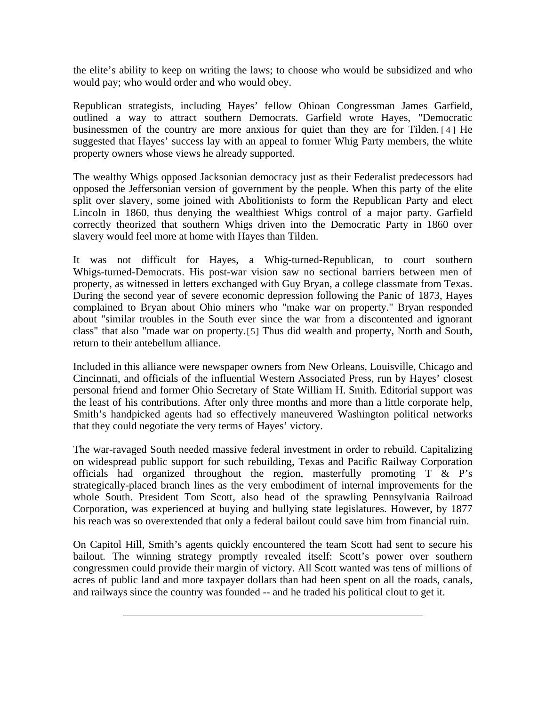the elite's ability to keep on writing the laws; to choose who would be subsidized and who would pay; who would order and who would obey.

Republican strategists, including Hayes' fellow Ohioan Congressman James Garfield, outlined a way to attract southern Democrats. Garfield wrote Hayes, "Democratic businessmen of the country are more anxious for quiet than they are for Tilden. [4] He suggested that Hayes' success lay with an appeal to former Whig Party members, the white property owners whose views he already supported.

The wealthy Whigs opposed Jacksonian democracy just as their Federalist predecessors had opposed the Jeffersonian version of government by the people. When this party of the elite split over slavery, some joined with Abolitionists to form the Republican Party and elect Lincoln in 1860, thus denying the wealthiest Whigs control of a major party. Garfield correctly theorized that southern Whigs driven into the Democratic Party in 1860 over slavery would feel more at home with Hayes than Tilden.

It was not difficult for Hayes, a Whig-turned-Republican, to court southern Whigs-turned-Democrats. His post-war vision saw no sectional barriers between men of property, as witnessed in letters exchanged with Guy Bryan, a college classmate from Texas. During the second year of severe economic depression following the Panic of 1873, Hayes complained to Bryan about Ohio miners who "make war on property." Bryan responded about "similar troubles in the South ever since the war from a discontented and ignorant class" that also "made war on property.[5] Thus did wealth and property, North and South, return to their antebellum alliance.

Included in this alliance were newspaper owners from New Orleans, Louisville, Chicago and Cincinnati, and officials of the influential Western Associated Press, run by Hayes' closest personal friend and former Ohio Secretary of State William H. Smith. Editorial support was the least of his contributions. After only three months and more than a little corporate help, Smith's handpicked agents had so effectively maneuvered Washington political networks that they could negotiate the very terms of Hayes' victory.

The war-ravaged South needed massive federal investment in order to rebuild. Capitalizing on widespread public support for such rebuilding, Texas and Pacific Railway Corporation officials had organized throughout the region, masterfully promoting  $T \& P's$ strategically-placed branch lines as the very embodiment of internal improvements for the whole South. President Tom Scott, also head of the sprawling Pennsylvania Railroad Corporation, was experienced at buying and bullying state legislatures. However, by 1877 his reach was so overextended that only a federal bailout could save him from financial ruin.

On Capitol Hill, Smith's agents quickly encountered the team Scott had sent to secure his bailout. The winning strategy promptly revealed itself: Scott's power over southern congressmen could provide their margin of victory. All Scott wanted was tens of millions of acres of public land and more taxpayer dollars than had been spent on all the roads, canals, and railways since the country was founded -- and he traded his political clout to get it.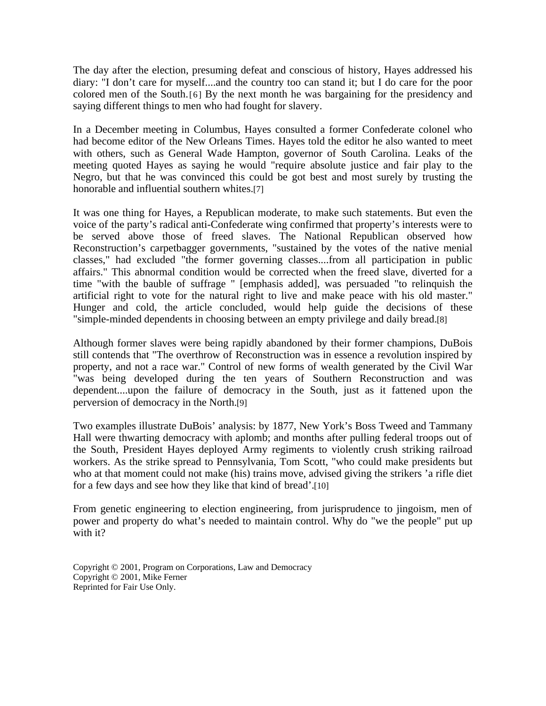The day after the election, presuming defeat and conscious of history, Hayes addressed his diary: "I don't care for myself....and the country too can stand it; but I do care for the poor colored men of the South.[6] By the next month he was bargaining for the presidency and saying different things to men who had fought for slavery.

In a December meeting in Columbus, Hayes consulted a former Confederate colonel who had become editor of the New Orleans Times. Hayes told the editor he also wanted to meet with others, such as General Wade Hampton, governor of South Carolina. Leaks of the meeting quoted Hayes as saying he would "require absolute justice and fair play to the Negro, but that he was convinced this could be got best and most surely by trusting the honorable and influential southern whites.[7]

It was one thing for Hayes, a Republican moderate, to make such statements. But even the voice of the party's radical anti-Confederate wing confirmed that property's interests were to be served above those of freed slaves. The National Republican observed how Reconstruction's carpetbagger governments, "sustained by the votes of the native menial classes," had excluded "the former governing classes....from all participation in public affairs." This abnormal condition would be corrected when the freed slave, diverted for a time "with the bauble of suffrage " [emphasis added], was persuaded "to relinquish the artificial right to vote for the natural right to live and make peace with his old master." Hunger and cold, the article concluded, would help guide the decisions of these "simple-minded dependents in choosing between an empty privilege and daily bread.[8]

Although former slaves were being rapidly abandoned by their former champions, DuBois still contends that "The overthrow of Reconstruction was in essence a revolution inspired by property, and not a race war." Control of new forms of wealth generated by the Civil War "was being developed during the ten years of Southern Reconstruction and was dependent....upon the failure of democracy in the South, just as it fattened upon the perversion of democracy in the North.[9]

Two examples illustrate DuBois' analysis: by 1877, New York's Boss Tweed and Tammany Hall were thwarting democracy with aplomb; and months after pulling federal troops out of the South, President Hayes deployed Army regiments to violently crush striking railroad workers. As the strike spread to Pennsylvania, Tom Scott, "who could make presidents but who at that moment could not make (his) trains move, advised giving the strikers 'a rifle diet for a few days and see how they like that kind of bread'.[10]

From genetic engineering to election engineering, from jurisprudence to jingoism, men of power and property do what's needed to maintain control. Why do "we the people" put up with it?

Copyright © 2001, Program on Corporations, Law and Democracy Copyright © 2001, Mike Ferner Reprinted for Fair Use Only.